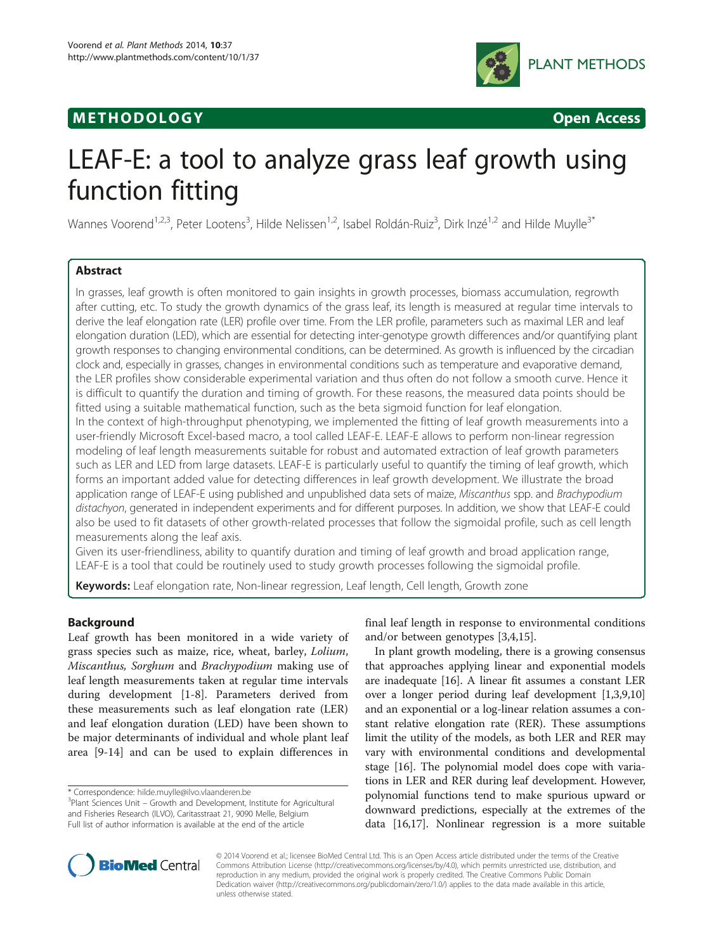# **METHODOLOGY CONSUMING ACCESS**



# LEAF-E: a tool to analyze grass leaf growth using function fitting

Wannes Voorend<sup>1,2,3</sup>, Peter Lootens<sup>3</sup>, Hilde Nelissen<sup>1,2</sup>, Isabel Roldán-Ruiz<sup>3</sup>, Dirk Inzé<sup>1,2</sup> and Hilde Muylle<sup>3\*</sup>

# Abstract

In grasses, leaf growth is often monitored to gain insights in growth processes, biomass accumulation, regrowth after cutting, etc. To study the growth dynamics of the grass leaf, its length is measured at regular time intervals to derive the leaf elongation rate (LER) profile over time. From the LER profile, parameters such as maximal LER and leaf elongation duration (LED), which are essential for detecting inter-genotype growth differences and/or quantifying plant growth responses to changing environmental conditions, can be determined. As growth is influenced by the circadian clock and, especially in grasses, changes in environmental conditions such as temperature and evaporative demand, the LER profiles show considerable experimental variation and thus often do not follow a smooth curve. Hence it is difficult to quantify the duration and timing of growth. For these reasons, the measured data points should be fitted using a suitable mathematical function, such as the beta sigmoid function for leaf elongation. In the context of high-throughput phenotyping, we implemented the fitting of leaf growth measurements into a user-friendly Microsoft Excel-based macro, a tool called LEAF-E. LEAF-E allows to perform non-linear regression modeling of leaf length measurements suitable for robust and automated extraction of leaf growth parameters such as LER and LED from large datasets. LEAF-E is particularly useful to quantify the timing of leaf growth, which

forms an important added value for detecting differences in leaf growth development. We illustrate the broad application range of LEAF-E using published and unpublished data sets of maize, Miscanthus spp. and Brachypodium distachyon, generated in independent experiments and for different purposes. In addition, we show that LEAF-E could also be used to fit datasets of other growth-related processes that follow the sigmoidal profile, such as cell length measurements along the leaf axis.

Given its user-friendliness, ability to quantify duration and timing of leaf growth and broad application range, LEAF-E is a tool that could be routinely used to study growth processes following the sigmoidal profile.

Keywords: Leaf elongation rate, Non-linear regression, Leaf length, Cell length, Growth zone

# Background

Leaf growth has been monitored in a wide variety of grass species such as maize, rice, wheat, barley, Lolium, Miscanthus, Sorghum and Brachypodium making use of leaf length measurements taken at regular time intervals during development [\[1](#page-11-0)-[8\]](#page-11-0). Parameters derived from these measurements such as leaf elongation rate (LER) and leaf elongation duration (LED) have been shown to be major determinants of individual and whole plant leaf area [[9-14](#page-11-0)] and can be used to explain differences in

\* Correspondence: [hilde.muylle@ilvo.vlaanderen.be](mailto:hilde.muylle@ilvo.vlaanderen.be) <sup>3</sup>

final leaf length in response to environmental conditions and/or between genotypes [\[3](#page-11-0),[4](#page-11-0),[15](#page-11-0)].

In plant growth modeling, there is a growing consensus that approaches applying linear and exponential models are inadequate [\[16\]](#page-11-0). A linear fit assumes a constant LER over a longer period during leaf development [\[1,3,9,10](#page-11-0)] and an exponential or a log-linear relation assumes a constant relative elongation rate (RER). These assumptions limit the utility of the models, as both LER and RER may vary with environmental conditions and developmental stage [\[16\]](#page-11-0). The polynomial model does cope with variations in LER and RER during leaf development. However, polynomial functions tend to make spurious upward or downward predictions, especially at the extremes of the data [\[16,17](#page-11-0)]. Nonlinear regression is a more suitable



© 2014 Voorend et al.; licensee BioMed Central Ltd. This is an Open Access article distributed under the terms of the Creative Commons Attribution License [\(http://creativecommons.org/licenses/by/4.0\)](http://creativecommons.org/licenses/by/4.0), which permits unrestricted use, distribution, and reproduction in any medium, provided the original work is properly credited. The Creative Commons Public Domain Dedication waiver [\(http://creativecommons.org/publicdomain/zero/1.0/](http://creativecommons.org/publicdomain/zero/1.0/)) applies to the data made available in this article, unless otherwise stated.

 $3$ Plant Sciences Unit – Growth and Development, Institute for Agricultural and Fisheries Research (ILVO), Caritasstraat 21, 9090 Melle, Belgium Full list of author information is available at the end of the article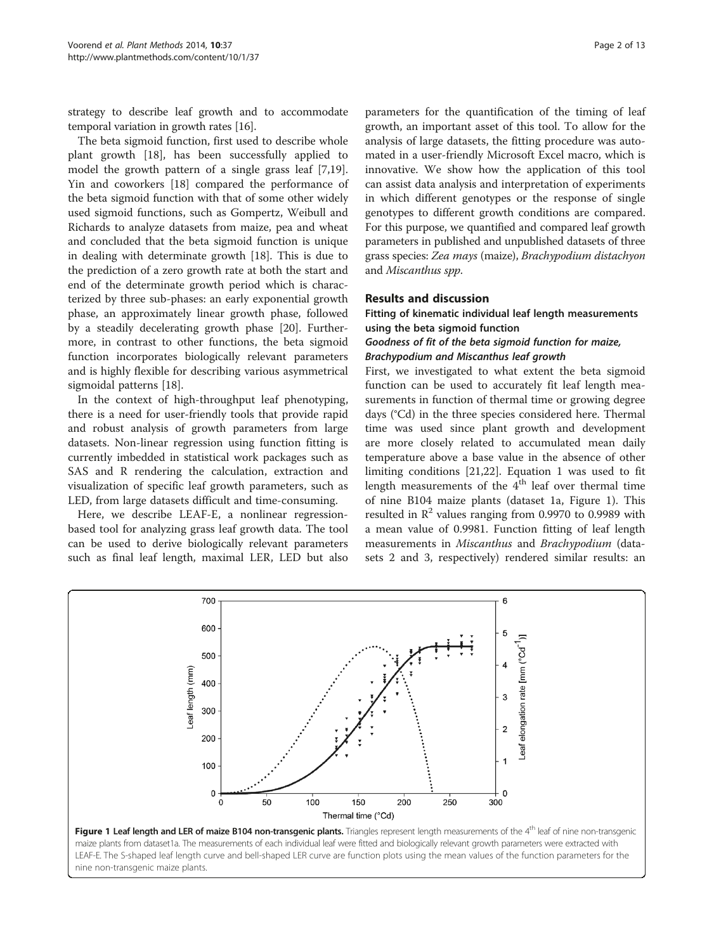<span id="page-1-0"></span>strategy to describe leaf growth and to accommodate temporal variation in growth rates [\[16\]](#page-11-0).

The beta sigmoid function, first used to describe whole plant growth [\[18\]](#page-11-0), has been successfully applied to model the growth pattern of a single grass leaf [\[7,19](#page-11-0)]. Yin and coworkers [\[18](#page-11-0)] compared the performance of the beta sigmoid function with that of some other widely used sigmoid functions, such as Gompertz, Weibull and Richards to analyze datasets from maize, pea and wheat and concluded that the beta sigmoid function is unique in dealing with determinate growth [\[18\]](#page-11-0). This is due to the prediction of a zero growth rate at both the start and end of the determinate growth period which is characterized by three sub-phases: an early exponential growth phase, an approximately linear growth phase, followed by a steadily decelerating growth phase [\[20](#page-11-0)]. Furthermore, in contrast to other functions, the beta sigmoid function incorporates biologically relevant parameters and is highly flexible for describing various asymmetrical sigmoidal patterns [\[18\]](#page-11-0).

In the context of high-throughput leaf phenotyping, there is a need for user-friendly tools that provide rapid and robust analysis of growth parameters from large datasets. Non-linear regression using function fitting is currently imbedded in statistical work packages such as SAS and R rendering the calculation, extraction and visualization of specific leaf growth parameters, such as LED, from large datasets difficult and time-consuming.

Here, we describe LEAF-E, a nonlinear regressionbased tool for analyzing grass leaf growth data. The tool can be used to derive biologically relevant parameters such as final leaf length, maximal LER, LED but also

parameters for the quantification of the timing of leaf growth, an important asset of this tool. To allow for the analysis of large datasets, the fitting procedure was automated in a user-friendly Microsoft Excel macro, which is innovative. We show how the application of this tool can assist data analysis and interpretation of experiments in which different genotypes or the response of single genotypes to different growth conditions are compared. For this purpose, we quantified and compared leaf growth parameters in published and unpublished datasets of three grass species: Zea mays (maize), Brachypodium distachyon and Miscanthus spp.

# Results and discussion

# Fitting of kinematic individual leaf length measurements using the beta sigmoid function

# Goodness of fit of the beta sigmoid function for maize, Brachypodium and Miscanthus leaf growth

First, we investigated to what extent the beta sigmoid function can be used to accurately fit leaf length measurements in function of thermal time or growing degree days (°Cd) in the three species considered here. Thermal time was used since plant growth and development are more closely related to accumulated mean daily temperature above a base value in the absence of other limiting conditions [[21,22](#page-11-0)]. Equation [1](#page-9-0) was used to fit length measurements of the  $4<sup>th</sup>$  leaf over thermal time of nine B104 maize plants ([dataset 1a](#page-8-0), Figure 1). This resulted in  $\mathbb{R}^2$  values ranging from 0.9970 to 0.9989 with a mean value of 0.9981. Function fitting of leaf length measurements in Miscanthus and Brachypodium (datasets [2](#page-8-0) and [3](#page-9-0), respectively) rendered similar results: an

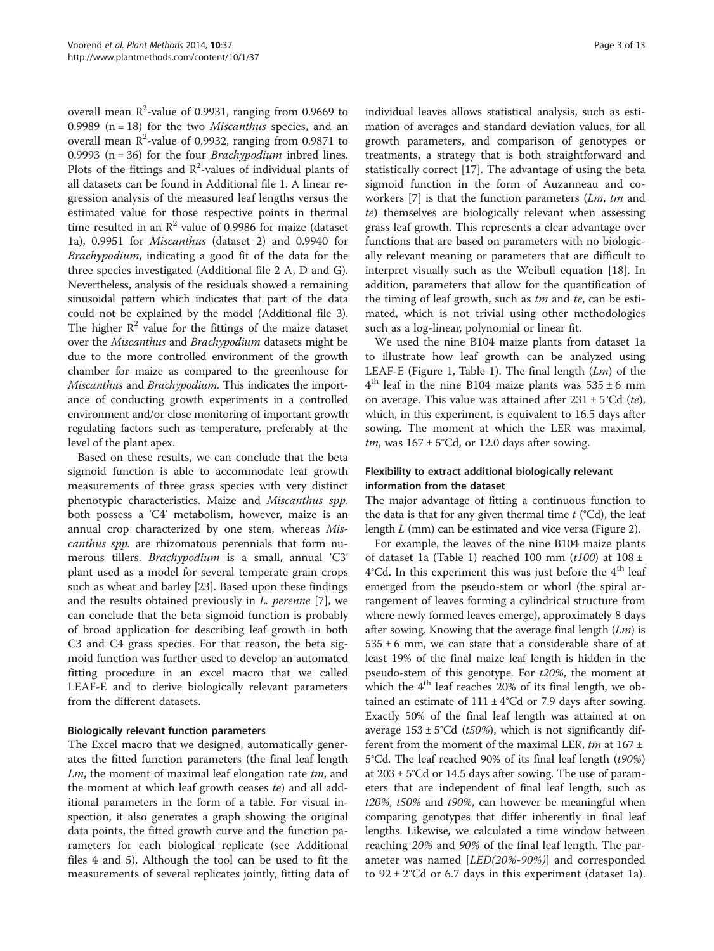overall mean  $R^2$ -value of 0.9931, ranging from 0.9669 to 0.9989 ( $n = 18$ ) for the two *Miscanthus* species, and an overall mean  $R^2$ -value of 0.9932, ranging from 0.9871 to 0.9993 ( $n = 36$ ) for the four *Brachypodium* inbred lines. Plots of the fittings and  $R^2$ -values of individual plants of all datasets can be found in Additional file [1](#page-10-0). A linear regression analysis of the measured leaf lengths versus the estimated value for those respective points in thermal time resulted in an  $\mathbb{R}^2$  value of 0.9986 for maize [\(dataset](#page-8-0) [1a\)](#page-8-0), 0.9951 for Miscanthus [\(dataset 2\)](#page-8-0) and 0.9940 for Brachypodium, indicating a good fit of the data for the three species investigated (Additional file [2](#page-10-0) A, D and G). Nevertheless, analysis of the residuals showed a remaining sinusoidal pattern which indicates that part of the data could not be explained by the model (Additional file [3](#page-11-0)). The higher  $\mathbb{R}^2$  value for the fittings of the maize dataset over the Miscanthus and Brachypodium datasets might be due to the more controlled environment of the growth chamber for maize as compared to the greenhouse for Miscanthus and Brachypodium. This indicates the importance of conducting growth experiments in a controlled environment and/or close monitoring of important growth regulating factors such as temperature, preferably at the level of the plant apex.

Based on these results, we can conclude that the beta sigmoid function is able to accommodate leaf growth measurements of three grass species with very distinct phenotypic characteristics. Maize and Miscanthus spp. both possess a 'C4' metabolism, however, maize is an annual crop characterized by one stem, whereas Miscanthus spp. are rhizomatous perennials that form numerous tillers. Brachypodium is a small, annual 'C3' plant used as a model for several temperate grain crops such as wheat and barley [\[23](#page-11-0)]. Based upon these findings and the results obtained previously in L. perenne [[7\]](#page-11-0), we can conclude that the beta sigmoid function is probably of broad application for describing leaf growth in both C3 and C4 grass species. For that reason, the beta sigmoid function was further used to develop an automated fitting procedure in an excel macro that we called LEAF-E and to derive biologically relevant parameters from the different datasets.

# Biologically relevant function parameters

The Excel macro that we designed, automatically generates the fitted function parameters (the final leaf length  $Lm$ , the moment of maximal leaf elongation rate  $tm$ , and the moment at which leaf growth ceases te) and all additional parameters in the form of a table. For visual inspection, it also generates a graph showing the original data points, the fitted growth curve and the function parameters for each biological replicate (see Additional files [4](#page-11-0) and [5\)](#page-11-0). Although the tool can be used to fit the measurements of several replicates jointly, fitting data of individual leaves allows statistical analysis, such as estimation of averages and standard deviation values, for all growth parameters, and comparison of genotypes or treatments, a strategy that is both straightforward and statistically correct [\[17\]](#page-11-0). The advantage of using the beta sigmoid function in the form of Auzanneau and co-workers [[7\]](#page-11-0) is that the function parameters  $(Lm, tm, and$ te) themselves are biologically relevant when assessing grass leaf growth. This represents a clear advantage over functions that are based on parameters with no biologically relevant meaning or parameters that are difficult to interpret visually such as the Weibull equation [[18](#page-11-0)]. In addition, parameters that allow for the quantification of the timing of leaf growth, such as  $tm$  and  $te$ , can be estimated, which is not trivial using other methodologies such as a log-linear, polynomial or linear fit.

We used the nine B104 maize plants from [dataset 1a](#page-8-0) to illustrate how leaf growth can be analyzed using LEAF-E (Figure [1,](#page-1-0) Table [1](#page-3-0)). The final length  $(Lm)$  of the  $4<sup>th</sup>$  leaf in the nine B104 maize plants was  $535 \pm 6$  mm on average. This value was attained after  $231 \pm 5^{\circ}$ Cd (te), which, in this experiment, is equivalent to 16.5 days after sowing. The moment at which the LER was maximal,  $tm$ , was  $167 \pm 5^{\circ}$ Cd, or 12.0 days after sowing.

# Flexibility to extract additional biologically relevant information from the dataset

The major advantage of fitting a continuous function to the data is that for any given thermal time  $t$  ( $\degree$ Cd), the leaf length L (mm) can be estimated and vice versa (Figure [2](#page-3-0)).

For example, the leaves of the nine B104 maize plants of [dataset 1a](#page-8-0) (Table [1](#page-3-0)) reached 100 mm (t100) at  $108 \pm$  $4^{\circ}$ Cd. In this experiment this was just before the  $4^{\text{th}}$  leaf emerged from the pseudo-stem or whorl (the spiral arrangement of leaves forming a cylindrical structure from where newly formed leaves emerge), approximately 8 days after sowing. Knowing that the average final length  $(Lm)$  is  $535 \pm 6$  mm, we can state that a considerable share of at least 19% of the final maize leaf length is hidden in the pseudo-stem of this genotype. For t20%, the moment at which the  $4<sup>th</sup>$  leaf reaches 20% of its final length, we obtained an estimate of  $111 \pm 4^{\circ}$ Cd or 7.9 days after sowing. Exactly 50% of the final leaf length was attained at on average  $153 \pm 5^{\circ}$ Cd (t50%), which is not significantly different from the moment of the maximal LER, tm at  $167 \pm$ 5°Cd. The leaf reached 90% of its final leaf length (t90%) at 203 ± 5°Cd or 14.5 days after sowing. The use of parameters that are independent of final leaf length, such as t20%, t50% and t90%, can however be meaningful when comparing genotypes that differ inherently in final leaf lengths. Likewise, we calculated a time window between reaching 20% and 90% of the final leaf length. The parameter was named [LED(20%-90%)] and corresponded to  $92 \pm 2^{\circ}$ Cd or 6.7 days in this experiment [\(dataset 1a\)](#page-8-0).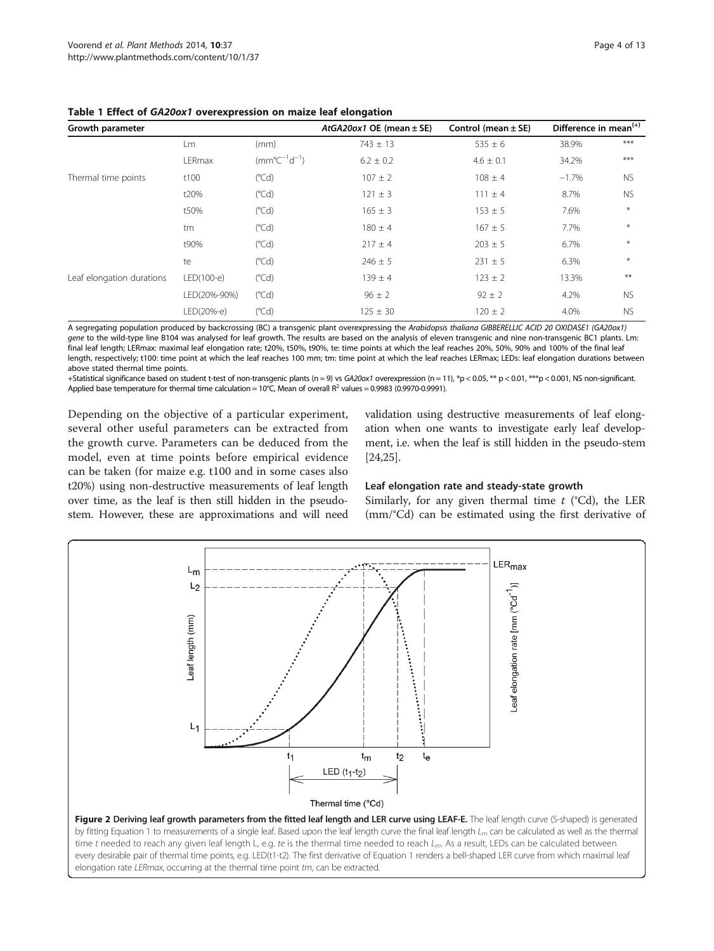<span id="page-3-0"></span>Table 1 Effect of GA20ox1 overexpression on maize leaf elongation

| Growth parameter          |               |                            | AtGA20ox1 OE (mean $\pm$ SE) | Control (mean $\pm$ SE) | Difference in mean <sup>(+)</sup> |           |
|---------------------------|---------------|----------------------------|------------------------------|-------------------------|-----------------------------------|-----------|
|                           | Lm            | (mm)                       | $743 \pm 13$                 | $535 \pm 6$             | 38.9%                             | $***$     |
|                           | <b>LERmax</b> | $(mm^{\circ}C^{-1}d^{-1})$ | $6.2 \pm 0.2$                | $4.6 \pm 0.1$           | 34.2%                             | ***       |
| Thermal time points       | t100          | $(^{\circ}Cd)$             | $107 \pm 2$                  | $108 \pm 4$             | $-1.7%$                           | <b>NS</b> |
|                           | t20%          | $(^{\circ}Cd)$             | $121 \pm 3$                  | $111 \pm 4$             | 8.7%                              | <b>NS</b> |
|                           | t50%          | $(^{\circ}Cd)$             | $165 \pm 3$                  | $153 \pm 5$             | 7.6%                              | $*$       |
|                           | tm            | $(^{\circ}Cd)$             | $180 \pm 4$                  | $167 \pm 5$             | 7.7%                              | $\ast$    |
|                           | t90%          | $(^{\circ}Cd)$             | $217 \pm 4$                  | $203 \pm 5$             | 6.7%                              | $*$       |
| Leaf elongation durations | te            | $(^{\circ}Cd)$             | $246 \pm 5$                  | $231 \pm 5$             | 6.3%                              | $\ast$    |
|                           | $LED(100-e)$  | $(^{\circ}Cd)$             | $139 \pm 4$                  | $123 \pm 2$             | 13.3%                             | $***$     |
|                           | LED(20%-90%)  | $(^{\circ}Cd)$             | $96 \pm 2$                   | $92 \pm 2$              | 4.2%                              | <b>NS</b> |
|                           | LED(20%-e)    | $(^{\circ}Cd)$             | $125 \pm 30$                 | $120 \pm 2$             | 4.0%                              | <b>NS</b> |

A segregating population produced by backcrossing (BC) a transgenic plant overexpressing the Arabidopsis thaliana GIBBERELLIC ACID 20 OXIDASE1 (GA20ox1) gene to the wild-type line B104 was analysed for leaf growth. The results are based on the analysis of eleven transgenic and nine non-transgenic BC1 plants. Lm: final leaf length; LERmax: maximal leaf elongation rate; t20%, t50%, t90%, te: time points at which the leaf reaches 20%, 50%, 90% and 100% of the final leaf length, respectively; t100: time point at which the leaf reaches 100 mm; tm: time point at which the leaf reaches LERmax; LEDs: leaf elongation durations between above stated thermal time points.

+Statistical significance based on student t-test of non-transgenic plants (n = 9) vs GA20ox1 overexpression (n = 11), \*p < 0.05, \*\* p < 0.01, \*\*\*p < 0.001, NS non-significant. Applied base temperature for thermal time calculation = 10°C, Mean of overall R<sup>2</sup> values = 0.9983 (0.9970-0.9991).

Depending on the objective of a particular experiment, several other useful parameters can be extracted from the growth curve. Parameters can be deduced from the model, even at time points before empirical evidence can be taken (for maize e.g. t100 and in some cases also t20%) using non-destructive measurements of leaf length over time, as the leaf is then still hidden in the pseudostem. However, these are approximations and will need

validation using destructive measurements of leaf elongation when one wants to investigate early leaf development, i.e. when the leaf is still hidden in the pseudo-stem [[24](#page-11-0),[25](#page-11-0)].

#### Leaf elongation rate and steady-state growth

Similarly, for any given thermal time  $t$  ( $\degree$ Cd), the LER (mm/°Cd) can be estimated using the first derivative of

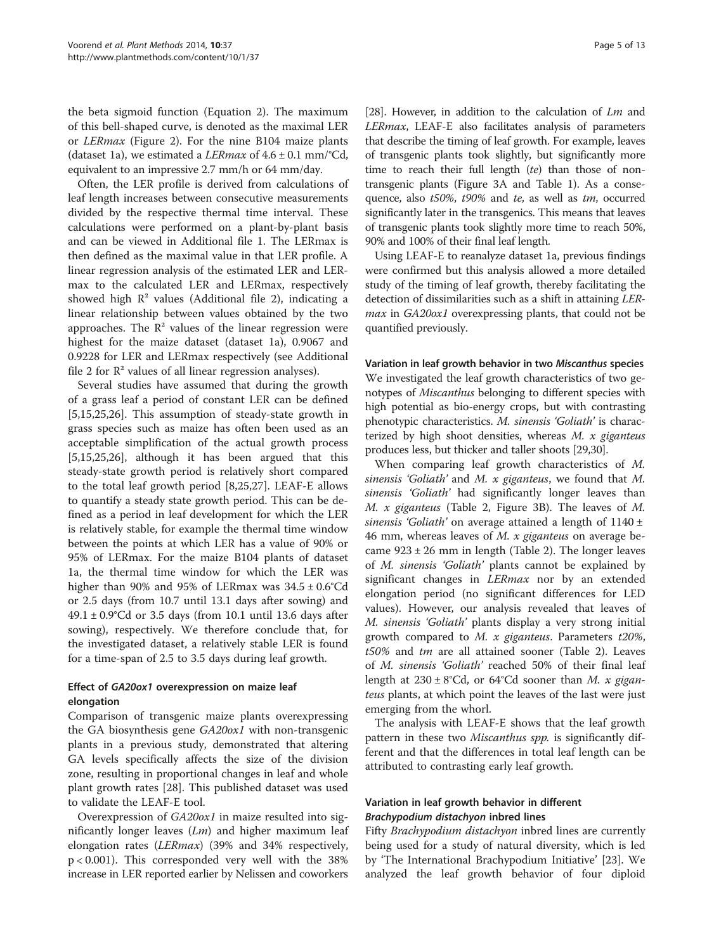the beta sigmoid function (Equation [2\)](#page-9-0). The maximum of this bell-shaped curve, is denoted as the maximal LER or LERmax (Figure [2\)](#page-3-0). For the nine B104 maize plants [\(dataset 1a\)](#page-8-0), we estimated a *LERmax* of  $4.6 \pm 0.1$  mm/°Cd, equivalent to an impressive 2.7 mm/h or 64 mm/day.

Often, the LER profile is derived from calculations of leaf length increases between consecutive measurements divided by the respective thermal time interval. These calculations were performed on a plant-by-plant basis and can be viewed in Additional file [1.](#page-10-0) The LERmax is then defined as the maximal value in that LER profile. A linear regression analysis of the estimated LER and LERmax to the calculated LER and LERmax, respectively showed high  $\mathbb{R}^2$  values (Additional file [2](#page-10-0)), indicating a linear relationship between values obtained by the two approaches. The  $\mathbb{R}^2$  values of the linear regression were highest for the maize dataset [\(dataset 1a\),](#page-8-0) 0.9067 and 0.9228 for LER and LERmax respectively (see Additional file [2](#page-10-0) for  $\mathbb{R}^2$  values of all linear regression analyses).

Several studies have assumed that during the growth of a grass leaf a period of constant LER can be defined [[5,15,25,26\]](#page-11-0). This assumption of steady-state growth in grass species such as maize has often been used as an acceptable simplification of the actual growth process [[5,15,25,26\]](#page-11-0), although it has been argued that this steady-state growth period is relatively short compared to the total leaf growth period [\[8,25,27\]](#page-11-0). LEAF-E allows to quantify a steady state growth period. This can be defined as a period in leaf development for which the LER is relatively stable, for example the thermal time window between the points at which LER has a value of 90% or 95% of LERmax. For the maize B104 plants of [dataset](#page-8-0) [1a](#page-8-0), the thermal time window for which the LER was higher than 90% and 95% of LERmax was  $34.5 \pm 0.6^{\circ}$ Cd or 2.5 days (from 10.7 until 13.1 days after sowing) and  $49.1 \pm 0.9^{\circ}$ Cd or 3.5 days (from 10.1 until 13.6 days after sowing), respectively. We therefore conclude that, for the investigated dataset, a relatively stable LER is found for a time-span of 2.5 to 3.5 days during leaf growth.

# Effect of GA20ox1 overexpression on maize leaf elongation

Comparison of transgenic maize plants overexpressing the GA biosynthesis gene GA20ox1 with non-transgenic plants in a previous study, demonstrated that altering GA levels specifically affects the size of the division zone, resulting in proportional changes in leaf and whole plant growth rates [[28\]](#page-11-0). This published dataset was used to validate the LEAF-E tool.

Overexpression of GA20ox1 in maize resulted into significantly longer leaves  $(Lm)$  and higher maximum leaf elongation rates (LERmax) (39% and 34% respectively, p < 0.001). This corresponded very well with the 38% increase in LER reported earlier by Nelissen and coworkers

[[28](#page-11-0)]. However, in addition to the calculation of  $Lm$  and LERmax, LEAF-E also facilitates analysis of parameters that describe the timing of leaf growth. For example, leaves of transgenic plants took slightly, but significantly more time to reach their full length  $(te)$  than those of nontransgenic plants (Figure [3](#page-5-0)A and Table [1](#page-3-0)). As a consequence, also t50%, t90% and te, as well as tm, occurred significantly later in the transgenics. This means that leaves of transgenic plants took slightly more time to reach 50%, 90% and 100% of their final leaf length.

Using LEAF-E to reanalyze [dataset 1a,](#page-8-0) previous findings were confirmed but this analysis allowed a more detailed study of the timing of leaf growth, thereby facilitating the detection of dissimilarities such as a shift in attaining LERmax in GA20ox1 overexpressing plants, that could not be quantified previously.

Variation in leaf growth behavior in two Miscanthus species We investigated the leaf growth characteristics of two genotypes of Miscanthus belonging to different species with high potential as bio-energy crops, but with contrasting phenotypic characteristics. M. sinensis 'Goliath' is characterized by high shoot densities, whereas  $M. x$  giganteus produces less, but thicker and taller shoots [\[29,](#page-11-0)[30](#page-12-0)].

When comparing leaf growth characteristics of M. sinensis 'Goliath' and M. x giganteus, we found that M. sinensis 'Goliath' had significantly longer leaves than M. x giganteus (Table [2](#page-6-0), Figure [3B](#page-5-0)). The leaves of M. *sinensis 'Goliath'* on average attained a length of  $1140 \pm$ 46 mm, whereas leaves of M. x giganteus on average became  $923 \pm 26$  $923 \pm 26$  $923 \pm 26$  mm in length (Table 2). The longer leaves of M. sinensis 'Goliath' plants cannot be explained by significant changes in *LERmax* nor by an extended elongation period (no significant differences for LED values). However, our analysis revealed that leaves of M. sinensis 'Goliath' plants display a very strong initial growth compared to  $M. x$  giganteus. Parameters  $t20\%$ ,  $t50\%$  and  $tm$  are all attained sooner (Table [2\)](#page-6-0). Leaves of M. sinensis 'Goliath' reached 50% of their final leaf length at  $230 \pm 8^{\circ}$ Cd, or 64°Cd sooner than M. x giganteus plants, at which point the leaves of the last were just emerging from the whorl.

The analysis with LEAF-E shows that the leaf growth pattern in these two *Miscanthus spp*. is significantly different and that the differences in total leaf length can be attributed to contrasting early leaf growth.

# Variation in leaf growth behavior in different Brachypodium distachyon inbred lines

Fifty *Brachypodium distachyon* inbred lines are currently being used for a study of natural diversity, which is led by 'The International Brachypodium Initiative' [\[23](#page-11-0)]. We analyzed the leaf growth behavior of four diploid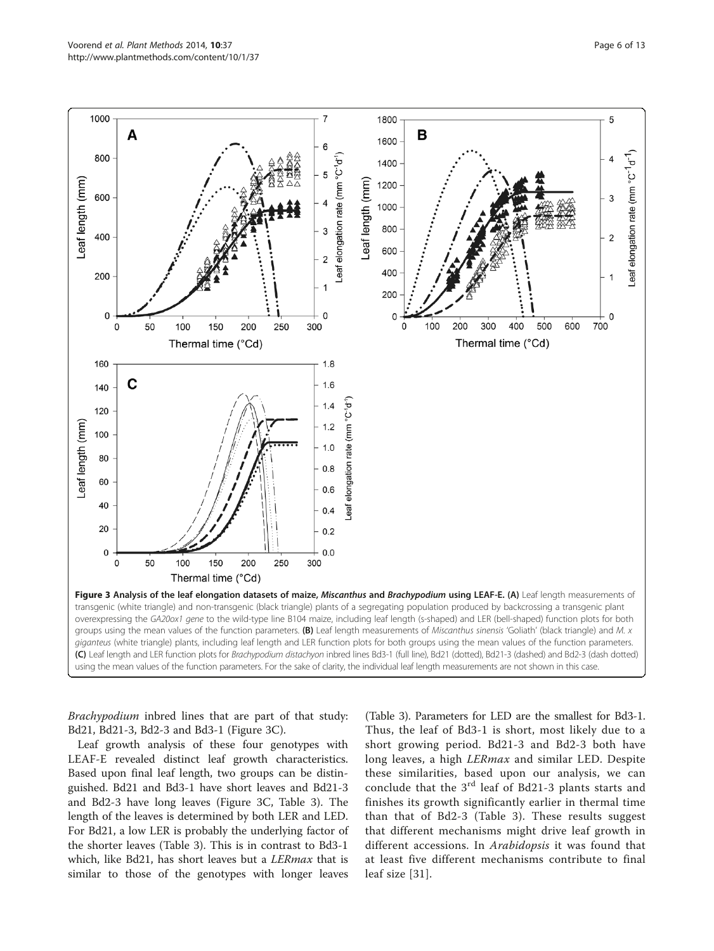<span id="page-5-0"></span>

Brachypodium inbred lines that are part of that study: Bd21, Bd21-3, Bd2-3 and Bd3-1 (Figure 3C).

Leaf growth analysis of these four genotypes with LEAF-E revealed distinct leaf growth characteristics. Based upon final leaf length, two groups can be distinguished. Bd21 and Bd3-1 have short leaves and Bd21-3 and Bd2-3 have long leaves (Figure 3C, Table [3](#page-6-0)). The length of the leaves is determined by both LER and LED. For Bd21, a low LER is probably the underlying factor of the shorter leaves (Table [3\)](#page-6-0). This is in contrast to Bd3-1 which, like Bd21, has short leaves but a *LERmax* that is similar to those of the genotypes with longer leaves

(Table [3\)](#page-6-0). Parameters for LED are the smallest for Bd3-1. Thus, the leaf of Bd3-1 is short, most likely due to a short growing period. Bd21-3 and Bd2-3 both have long leaves, a high *LERmax* and similar LED. Despite these similarities, based upon our analysis, we can conclude that the  $3<sup>rd</sup>$  leaf of Bd21-3 plants starts and finishes its growth significantly earlier in thermal time than that of Bd2-3 (Table [3\)](#page-6-0). These results suggest that different mechanisms might drive leaf growth in different accessions. In *Arabidopsis* it was found that at least five different mechanisms contribute to final leaf size [[31\]](#page-12-0).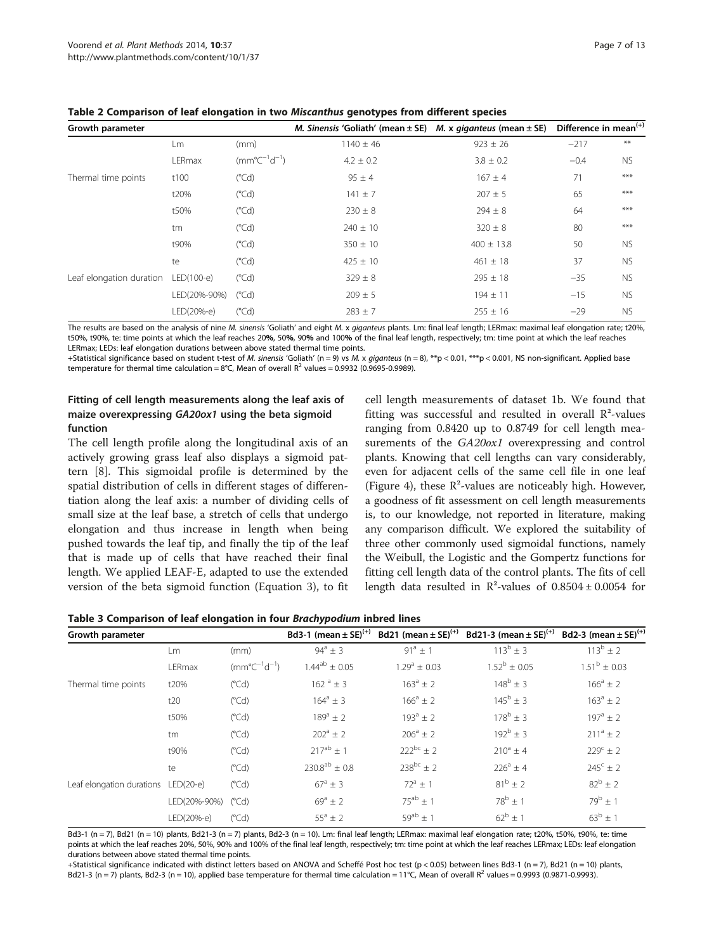<span id="page-6-0"></span>

|  |  | Table 2 Comparison of leaf elongation in two Miscanthus genotypes from different species |  |
|--|--|------------------------------------------------------------------------------------------|--|
|--|--|------------------------------------------------------------------------------------------|--|

|                          |              |                            | . .                                          |                                              |                                   |           |
|--------------------------|--------------|----------------------------|----------------------------------------------|----------------------------------------------|-----------------------------------|-----------|
| Growth parameter         |              |                            | <i>M. Sinensis 'Goliath'</i> (mean $\pm$ SE) | <i>M.</i> x <i>giganteus</i> (mean $\pm$ SE) | Difference in mean <sup>(+)</sup> |           |
|                          | Lm.          | (mm)                       | $1140 \pm 46$                                | $923 \pm 26$                                 | $-217$                            | $***$     |
|                          | LERmax       | $(mm^{\circ}C^{-1}d^{-1})$ | $4.2 \pm 0.2$                                | $3.8 \pm 0.2$                                | $-0.4$                            | <b>NS</b> |
| Thermal time points      | t100         | $(^{\circ}Cd)$             | $95 \pm 4$                                   | $167 \pm 4$                                  | 71                                | $***$     |
|                          | t20%         | $(^{\circ}Cd)$             | $141 \pm 7$                                  | $207 \pm 5$                                  | 65                                | ***       |
|                          | t50%         | $(^{\circ}Cd)$             | $230 \pm 8$                                  | $294 \pm 8$                                  | 64                                | $***$     |
|                          | tm           | $(^{\circ}Cd)$             | $240 \pm 10$                                 | $320 \pm 8$                                  | 80                                | $***$     |
|                          | t90%         | $(^{\circ}Cd)$             | $350 \pm 10$                                 | $400 \pm 13.8$                               | 50                                | <b>NS</b> |
|                          | te           | $(^{\circ}Cd)$             | $425 \pm 10$                                 | $461 \pm 18$                                 | 37                                | <b>NS</b> |
| Leaf elongation duration | LED(100-e)   | $(^{\circ}Cd)$             | $329 \pm 8$                                  | $295 \pm 18$                                 | $-35$                             | <b>NS</b> |
|                          | LED(20%-90%) | $(^{\circ}Cd)$             | $209 \pm 5$                                  | $194 \pm 11$                                 | $-15$                             | <b>NS</b> |
|                          | LED(20%-e)   | $(^{\circ}Cd)$             | $283 \pm 7$                                  | $255 \pm 16$                                 | $-29$                             | <b>NS</b> |

The results are based on the analysis of nine M. sinensis 'Goliath' and eight M. x giganteus plants. Lm: final leaf length; LERmax: maximal leaf elongation rate; t20%, t50%, t90%, te: time points at which the leaf reaches 20%, 50%, 90% and 100% of the final leaf length, respectively; tm: time point at which the leaf reaches LERmax; LEDs: leaf elongation durations between above stated thermal time points.

+Statistical significance based on student t-test of M. sinensis 'Goliath' (n = 9) vs M. x giganteus (n = 8), \*\*p < 0.01, \*\*\*p < 0.001, NS non-significant. Applied base temperature for thermal time calculation =  $8^{\circ}$ C, Mean of overall  $R^2$  values = 0.9932 (0.9695-0.9989).

# Fitting of cell length measurements along the leaf axis of maize overexpressing GA20ox1 using the beta sigmoid function

The cell length profile along the longitudinal axis of an actively growing grass leaf also displays a sigmoid pattern [\[8](#page-11-0)]. This sigmoidal profile is determined by the spatial distribution of cells in different stages of differentiation along the leaf axis: a number of dividing cells of small size at the leaf base, a stretch of cells that undergo elongation and thus increase in length when being pushed towards the leaf tip, and finally the tip of the leaf that is made up of cells that have reached their final length. We applied LEAF-E, adapted to use the extended version of the beta sigmoid function (Equation [3\)](#page-10-0), to fit

cell length measurements of [dataset 1b](#page-8-0). We found that fitting was successful and resulted in overall  $\mathbb{R}^2$ -values ranging from 0.8420 up to 0.8749 for cell length measurements of the GA20ox1 overexpressing and control plants. Knowing that cell lengths can vary considerably, even for adjacent cells of the same cell file in one leaf (Figure [4\)](#page-7-0), these  $R^2$ -values are noticeably high. However, a goodness of fit assessment on cell length measurements is, to our knowledge, not reported in literature, making any comparison difficult. We explored the suitability of three other commonly used sigmoidal functions, namely the Weibull, the Logistic and the Gompertz functions for fitting cell length data of the control plants. The fits of cell length data resulted in  $\mathbb{R}^2$ -values of 0.8504 ± 0.0054 for

Table 3 Comparison of leaf elongation in four Brachypodium inbred lines

| Growth parameter                    |              |                            | Bd3-1 (mean $\pm$ SE) <sup>(+)</sup> | Bd21 (mean $\pm$ SE) <sup>(+)</sup> | Bd21-3 (mean $\pm$ SE) <sup>(+)</sup> | Bd2-3 (mean $\pm$ SE) <sup>(+)</sup> |
|-------------------------------------|--------------|----------------------------|--------------------------------------|-------------------------------------|---------------------------------------|--------------------------------------|
|                                     | Lm           | (mm)                       | $94^a \pm 3$                         | $91^a + 1$                          | $113^{b} + 3$                         | $113^{b} + 2$                        |
|                                     | LERmax       | $(mm^{\circ}C^{-1}d^{-1})$ | $1.44^{ab} + 0.05$                   | $1.29^a \pm 0.03$                   | $1.52^b \pm 0.05$                     | $1.51^{\rm b}$ + 0.03                |
| Thermal time points                 | t20%         | $(^{\circ}Cd)$             | $162^{\circ} \pm 3$                  | $163^a \pm 2$                       | $148^b \pm 3$                         | $166^a + 2$                          |
|                                     | t20          | $(^{\circ}Cd)$             | $164^a \pm 3$                        | $166^a + 2$                         | $145^b + 3$                           | $163^a + 2$                          |
|                                     | t50%         | $(^{\circ}Cd)$             | $189^a \pm 2$                        | $193^{\circ} \pm 2$                 | $178^b + 3$                           | $197^{\circ} + 2$                    |
|                                     | tm           | $(^{\circ}Cd)$             | $202^a + 2$                          | $206^a \pm 2$                       | $192^b + 3$                           | $211^a + 2$                          |
|                                     | t90%         | $(^{\circ}Cd)$             | $217^{ab} + 1$                       | $222^{bc} + 2$                      | $710^a + 4$                           | $229^c + 2$                          |
|                                     | te           | $(^{\circ}Cd)$             | $230.8^{ab} \pm 0.8$                 | $238^{bc} \pm 2$                    | $226^a \pm 4$                         | $245^{\circ} \pm 2$                  |
| Leaf elongation durations LED(20-e) |              | $(^{\circ}Cd)$             | $67^{\rm a} \pm 3$                   | $72^a + 1$                          | $81^{\rm b} + 2$                      | $82^b + 2$                           |
|                                     | LED(20%-90%) | $(^{\circ}Cd)$             | $69^{\rm a} \pm 2$                   | $75^{ab} + 1$                       | $78^{\rm b} + 1$                      | $79^{b} \pm 1$                       |
|                                     | LED(20%-e)   | $(^{\circ}Cd)$             | $55^{\circ} \pm 2$                   | $59^{ab}$ ± 1                       | $62^b + 1$                            | $63^{b} \pm 1$                       |

Bd3-1 (n = 7), Bd21 (n = 10) plants, Bd21-3 (n = 7) plants, Bd2-3 (n = 10). Lm: final leaf length; LERmax: maximal leaf elongation rate; t20%, t50%, t90%, te: time points at which the leaf reaches 20%, 50%, 90% and 100% of the final leaf length, respectively; tm: time point at which the leaf reaches LERmax; LEDs: leaf elongation durations between above stated thermal time points.

+Statistical significance indicated with distinct letters based on ANOVA and Scheffé Post hoc test (p < 0.05) between lines Bd3-1 (n = 7), Bd21 (n = 10) plants, Bd21-3 (n = 7) plants, Bd2-3 (n = 10), applied base temperature for thermal time calculation = 11°C, Mean of overall R<sup>2</sup> values = 0.9993 (0.9871-0.9993).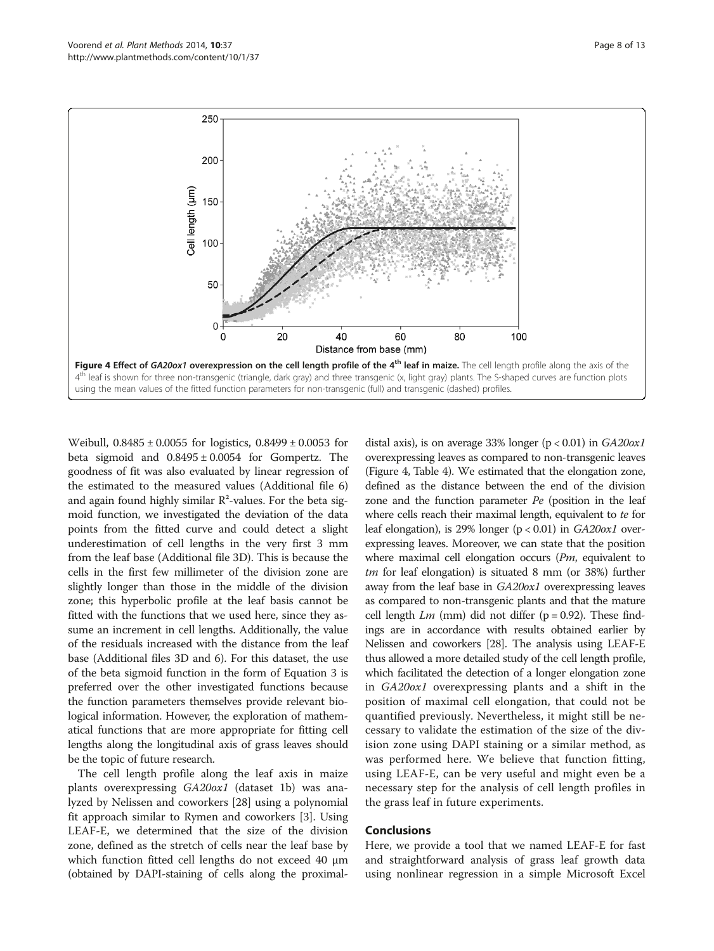<span id="page-7-0"></span>

Weibull, 0.8485 ± 0.0055 for logistics, 0.8499 ± 0.0053 for beta sigmoid and 0.8495 ± 0.0054 for Gompertz. The goodness of fit was also evaluated by linear regression of the estimated to the measured values (Additional file [6](#page-11-0)) and again found highly similar  $\mathbb{R}^2$ -values. For the beta sigmoid function, we investigated the deviation of the data points from the fitted curve and could detect a slight underestimation of cell lengths in the very first 3 mm from the leaf base (Additional file [3](#page-11-0)D). This is because the cells in the first few millimeter of the division zone are slightly longer than those in the middle of the division zone; this hyperbolic profile at the leaf basis cannot be fitted with the functions that we used here, since they assume an increment in cell lengths. Additionally, the value of the residuals increased with the distance from the leaf base (Additional files [3](#page-11-0)D and [6\)](#page-11-0). For this dataset, the use of the beta sigmoid function in the form of Equation [3](#page-10-0) is preferred over the other investigated functions because the function parameters themselves provide relevant biological information. However, the exploration of mathematical functions that are more appropriate for fitting cell lengths along the longitudinal axis of grass leaves should be the topic of future research.

The cell length profile along the leaf axis in maize plants overexpressing GA20ox1 [\(dataset 1b\)](#page-8-0) was analyzed by Nelissen and coworkers [[28\]](#page-11-0) using a polynomial fit approach similar to Rymen and coworkers [\[3](#page-11-0)]. Using LEAF-E, we determined that the size of the division zone, defined as the stretch of cells near the leaf base by which function fitted cell lengths do not exceed 40 μm (obtained by DAPI-staining of cells along the proximaldistal axis), is on average 33% longer  $(p < 0.01)$  in  $GA20ox1$ overexpressing leaves as compared to non-transgenic leaves (Figure 4, Table [4\)](#page-8-0). We estimated that the elongation zone, defined as the distance between the end of the division zone and the function parameter Pe (position in the leaf where cells reach their maximal length, equivalent to te for leaf elongation), is 29% longer  $(p < 0.01)$  in  $GA20ox1$  overexpressing leaves. Moreover, we can state that the position where maximal cell elongation occurs (Pm, equivalent to tm for leaf elongation) is situated 8 mm (or 38%) further away from the leaf base in GA20ox1 overexpressing leaves as compared to non-transgenic plants and that the mature cell length  $Lm$  (mm) did not differ (p = 0.92). These findings are in accordance with results obtained earlier by Nelissen and coworkers [[28](#page-11-0)]. The analysis using LEAF-E thus allowed a more detailed study of the cell length profile, which facilitated the detection of a longer elongation zone in GA20ox1 overexpressing plants and a shift in the position of maximal cell elongation, that could not be quantified previously. Nevertheless, it might still be necessary to validate the estimation of the size of the division zone using DAPI staining or a similar method, as was performed here. We believe that function fitting, using LEAF-E, can be very useful and might even be a necessary step for the analysis of cell length profiles in the grass leaf in future experiments.

# **Conclusions**

Here, we provide a tool that we named LEAF-E for fast and straightforward analysis of grass leaf growth data using nonlinear regression in a simple Microsoft Excel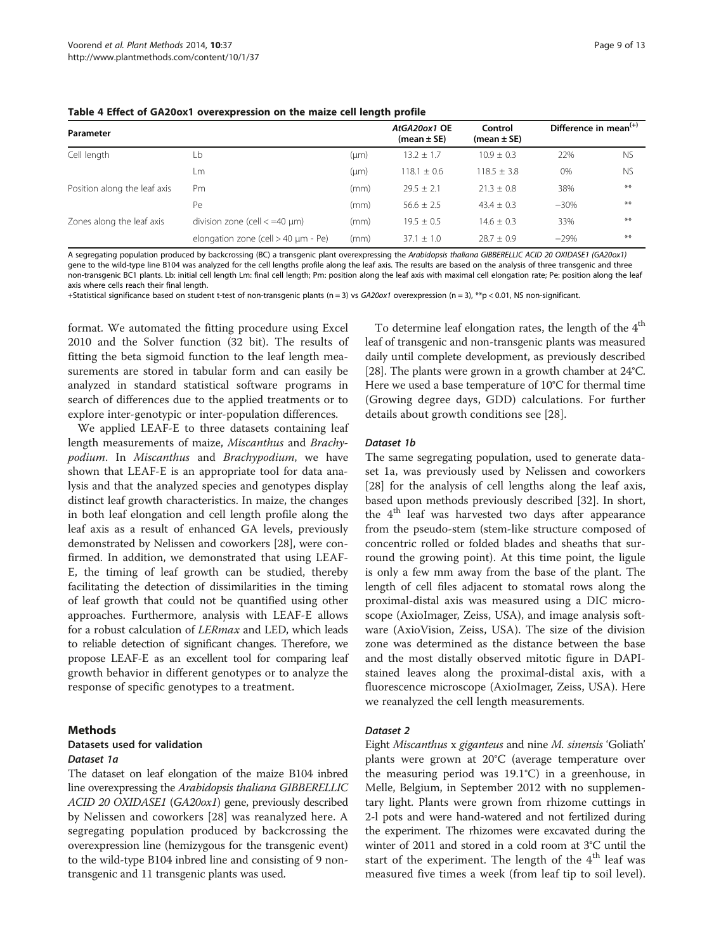#### <span id="page-8-0"></span>Table 4 Effect of GA20ox1 overexpression on the maize cell length profile

| Parameter                    |                                     |           | AtGA20ox1 OE<br>(mean $\pm$ SE) | Control<br>(mean $\pm$ SE) | Difference in mean $(+)$ |           |
|------------------------------|-------------------------------------|-----------|---------------------------------|----------------------------|--------------------------|-----------|
| Cell length                  | ∟b                                  | $(\mu m)$ | $13.2 + 1.7$                    | $10.9 + 0.3$               | 22%                      | <b>NS</b> |
|                              | Lm                                  | $(\mu m)$ | $118.1 \pm 0.6$                 | $118.5 \pm 3.8$            | 0%                       | <b>NS</b> |
| Position along the leaf axis | Pm                                  | (mm)      | $29.5 \pm 2.1$                  | $21.3 \pm 0.8$             | 38%                      | $***$     |
|                              | Pe                                  | (mm)      | $56.6 \pm 2.5$                  | $43.4 \pm 0.3$             | $-30%$                   | $***$     |
| Zones along the leaf axis    | division zone (cell $\lt$ =40 µm)   | (mm)      | $19.5 + 0.5$                    | $14.6 \pm 0.3$             | 33%                      | $**$      |
|                              | elongation zone (cell > 40 µm - Pe) | (mm)      | $37.1 \pm 1.0$                  | $28.7 \pm 0.9$             | $-29%$                   | $**$      |

A segregating population produced by backcrossing (BC) a transgenic plant overexpressing the Arabidopsis thaliana GIBBERELLIC ACID 20 OXIDASE1 (GA20ox1) gene to the wild-type line B104 was analyzed for the cell lengths profile along the leaf axis. The results are based on the analysis of three transgenic and three non-transgenic BC1 plants. Lb: initial cell length Lm: final cell length; Pm: position along the leaf axis with maximal cell elongation rate; Pe: position along the leaf axis where cells reach their final length.

+Statistical significance based on student t-test of non-transgenic plants (n = 3) vs GA20ox1 overexpression (n = 3), \*\*p < 0.01, NS non-significant.

format. We automated the fitting procedure using Excel 2010 and the Solver function (32 bit). The results of fitting the beta sigmoid function to the leaf length measurements are stored in tabular form and can easily be analyzed in standard statistical software programs in search of differences due to the applied treatments or to explore inter-genotypic or inter-population differences.

We applied LEAF-E to three datasets containing leaf length measurements of maize, Miscanthus and Brachypodium. In Miscanthus and Brachypodium, we have shown that LEAF-E is an appropriate tool for data analysis and that the analyzed species and genotypes display distinct leaf growth characteristics. In maize, the changes in both leaf elongation and cell length profile along the leaf axis as a result of enhanced GA levels, previously demonstrated by Nelissen and coworkers [[28](#page-11-0)], were confirmed. In addition, we demonstrated that using LEAF-E, the timing of leaf growth can be studied, thereby facilitating the detection of dissimilarities in the timing of leaf growth that could not be quantified using other approaches. Furthermore, analysis with LEAF-E allows for a robust calculation of *LERmax* and LED, which leads to reliable detection of significant changes. Therefore, we propose LEAF-E as an excellent tool for comparing leaf growth behavior in different genotypes or to analyze the response of specific genotypes to a treatment.

#### Methods

#### Datasets used for validation Dataset 1a

The dataset on leaf elongation of the maize B104 inbred line overexpressing the Arabidopsis thaliana GIBBERELLIC ACID 20 OXIDASE1 (GA20ox1) gene, previously described by Nelissen and coworkers [[28\]](#page-11-0) was reanalyzed here. A segregating population produced by backcrossing the overexpression line (hemizygous for the transgenic event) to the wild-type B104 inbred line and consisting of 9 nontransgenic and 11 transgenic plants was used.

To determine leaf elongation rates, the length of the 4<sup>th</sup> leaf of transgenic and non-transgenic plants was measured daily until complete development, as previously described [[28](#page-11-0)]. The plants were grown in a growth chamber at 24°C. Here we used a base temperature of 10°C for thermal time (Growing degree days, GDD) calculations. For further details about growth conditions see [\[28](#page-11-0)].

#### Dataset 1b

The same segregating population, used to generate dataset 1a, was previously used by Nelissen and coworkers [[28\]](#page-11-0) for the analysis of cell lengths along the leaf axis, based upon methods previously described [[32](#page-12-0)]. In short, the  $4<sup>th</sup>$  leaf was harvested two days after appearance from the pseudo-stem (stem-like structure composed of concentric rolled or folded blades and sheaths that surround the growing point). At this time point, the ligule is only a few mm away from the base of the plant. The length of cell files adjacent to stomatal rows along the proximal-distal axis was measured using a DIC microscope (AxioImager, Zeiss, USA), and image analysis software (AxioVision, Zeiss, USA). The size of the division zone was determined as the distance between the base and the most distally observed mitotic figure in DAPIstained leaves along the proximal-distal axis, with a fluorescence microscope (AxioImager, Zeiss, USA). Here we reanalyzed the cell length measurements.

#### Dataset 2

Eight Miscanthus x giganteus and nine M. sinensis 'Goliath' plants were grown at 20°C (average temperature over the measuring period was 19.1°C) in a greenhouse, in Melle, Belgium, in September 2012 with no supplementary light. Plants were grown from rhizome cuttings in 2-l pots and were hand-watered and not fertilized during the experiment. The rhizomes were excavated during the winter of 2011 and stored in a cold room at 3°C until the start of the experiment. The length of the 4<sup>th</sup> leaf was measured five times a week (from leaf tip to soil level).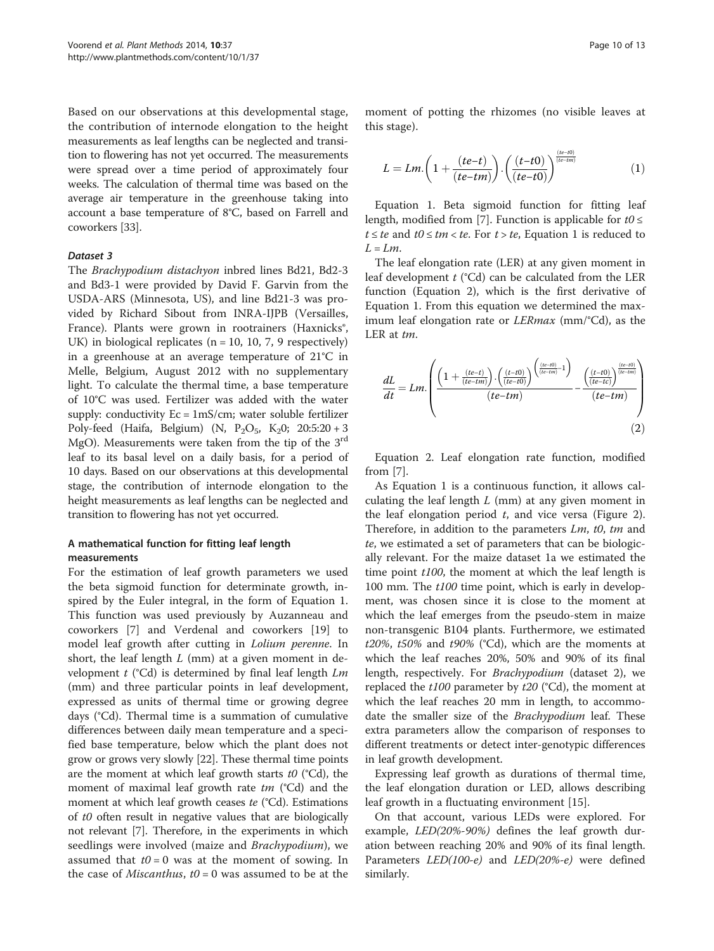<span id="page-9-0"></span>Based on our observations at this developmental stage, the contribution of internode elongation to the height measurements as leaf lengths can be neglected and transition to flowering has not yet occurred. The measurements were spread over a time period of approximately four weeks. The calculation of thermal time was based on the average air temperature in the greenhouse taking into account a base temperature of 8°C, based on Farrell and coworkers [\[33](#page-12-0)].

#### Dataset 3

The Brachypodium distachyon inbred lines Bd21, Bd2-3 and Bd3-1 were provided by David F. Garvin from the USDA-ARS (Minnesota, US), and line Bd21-3 was provided by Richard Sibout from INRA-IJPB (Versailles, France). Plants were grown in rootrainers (Haxnicks<sup>®</sup>, UK) in biological replicates ( $n = 10, 10, 7, 9$  respectively) in a greenhouse at an average temperature of 21°C in Melle, Belgium, August 2012 with no supplementary light. To calculate the thermal time, a base temperature of 10°C was used. Fertilizer was added with the water supply: conductivity  $Ec = 1 \text{mS/cm}$ ; water soluble fertilizer Poly-feed (Haifa, Belgium) (N,  $P_2O_5$ , K<sub>2</sub>0; 20:5:20 + 3 MgO). Measurements were taken from the tip of the 3rd leaf to its basal level on a daily basis, for a period of 10 days. Based on our observations at this developmental stage, the contribution of internode elongation to the height measurements as leaf lengths can be neglected and transition to flowering has not yet occurred.

# A mathematical function for fitting leaf length measurements

For the estimation of leaf growth parameters we used the beta sigmoid function for determinate growth, inspired by the Euler integral, in the form of Equation 1. This function was used previously by Auzanneau and coworkers [[7](#page-11-0)] and Verdenal and coworkers [\[19](#page-11-0)] to model leaf growth after cutting in Lolium perenne. In short, the leaf length  $L$  (mm) at a given moment in development  $t$  (°Cd) is determined by final leaf length  $Lm$ (mm) and three particular points in leaf development, expressed as units of thermal time or growing degree days (°Cd). Thermal time is a summation of cumulative differences between daily mean temperature and a specified base temperature, below which the plant does not grow or grows very slowly [\[22\]](#page-11-0). These thermal time points are the moment at which leaf growth starts  $t0$  (°Cd), the moment of maximal leaf growth rate  $tm$  ( $\degree$ Cd) and the moment at which leaf growth ceases te (°Cd). Estimations of t0 often result in negative values that are biologically not relevant [\[7](#page-11-0)]. Therefore, in the experiments in which seedlings were involved (maize and *Brachypodium*), we assumed that  $t0 = 0$  was at the moment of sowing. In the case of *Miscanthus*,  $t0 = 0$  was assumed to be at the moment of potting the rhizomes (no visible leaves at this stage).

$$
L = Lm \cdot \left(1 + \frac{(te-t)}{(te - tm)}\right) \cdot \left(\frac{(t-t0)}{(te - to)}\right)^{\frac{(te-t0)}{(te - tm)}} \tag{1}
$$

Equation 1. Beta sigmoid function for fitting leaf length, modified from [[7\]](#page-11-0). Function is applicable for  $t0 \le$ *t* ≤ *te* and *t* $0$  ≤ *tm* < *te*. For *t* > *te*, Equation 1 is reduced to  $L = Lm$ .

The leaf elongation rate (LER) at any given moment in leaf development  $t$  ( $\degree$ Cd) can be calculated from the LER function (Equation 2), which is the first derivative of Equation 1. From this equation we determined the maximum leaf elongation rate or LERmax (mm/°Cd), as the LER at tm.

$$
\frac{dL}{dt} = Lm \cdot \frac{\left( \left( 1 + \frac{(te-t)}{(te-tm)} \right) \cdot \left( \frac{(t-t0)}{(te-tm)} \right) \left( \frac{(te-t0)}{(te-tm)} - 1 \right) \right)}{(te-tm)} - \frac{\left( \frac{(t-t0)}{(te-tc)} \right)^{\frac{(te-t0)}{(te-tm)}}}{(te-tm)} \tag{2}
$$

Equation 2. Leaf elongation rate function, modified from [[7\]](#page-11-0).

As Equation 1 is a continuous function, it allows calculating the leaf length  $L$  (mm) at any given moment in the leaf elongation period  $t$ , and vice versa (Figure [2](#page-3-0)). Therefore, in addition to the parameters Lm, t0, tm and te, we estimated a set of parameters that can be biologically relevant. For the maize [dataset 1a](#page-8-0) we estimated the time point  $t100$ , the moment at which the leaf length is 100 mm. The t100 time point, which is early in development, was chosen since it is close to the moment at which the leaf emerges from the pseudo-stem in maize non-transgenic B104 plants. Furthermore, we estimated  $t20\%$ ,  $t50\%$  and  $t90\%$  (°Cd), which are the moments at which the leaf reaches 20%, 50% and 90% of its final length, respectively. For Brachypodium [\(dataset 2\)](#page-8-0), we replaced the  $t100$  parameter by  $t20$  (°Cd), the moment at which the leaf reaches 20 mm in length, to accommodate the smaller size of the *Brachypodium* leaf. These extra parameters allow the comparison of responses to different treatments or detect inter-genotypic differences in leaf growth development.

Expressing leaf growth as durations of thermal time, the leaf elongation duration or LED, allows describing leaf growth in a fluctuating environment [\[15\]](#page-11-0).

On that account, various LEDs were explored. For example, *LED*(20%-90%) defines the leaf growth duration between reaching 20% and 90% of its final length. Parameters *LED*(100-e) and *LED*(20%-e) were defined similarly.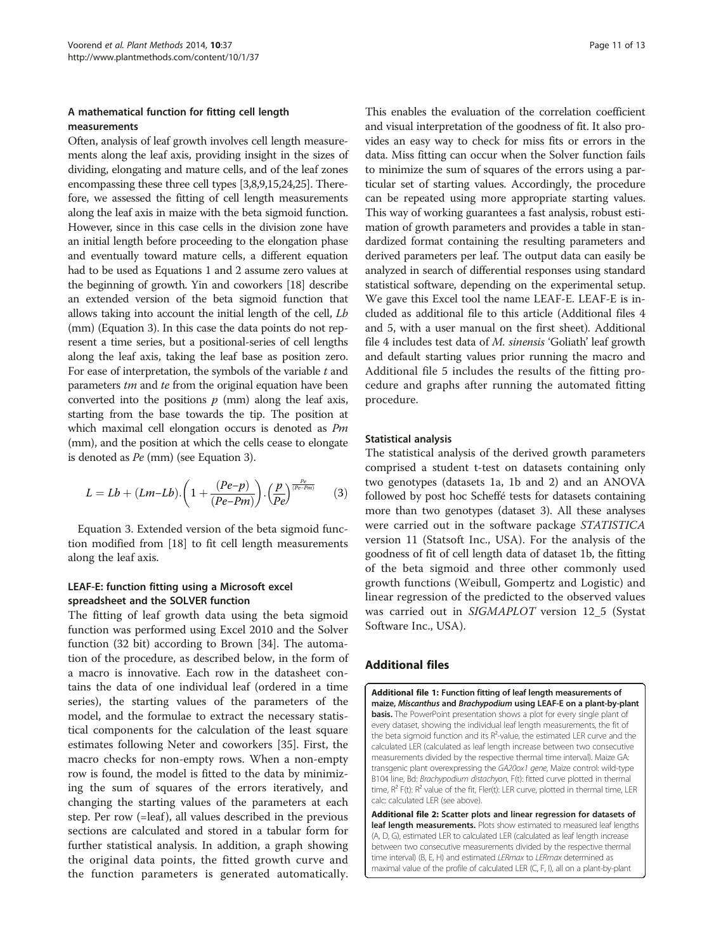# <span id="page-10-0"></span>A mathematical function for fitting cell length measurements

Often, analysis of leaf growth involves cell length measurements along the leaf axis, providing insight in the sizes of dividing, elongating and mature cells, and of the leaf zones encompassing these three cell types [[3,8,9,15,24,25\]](#page-11-0). Therefore, we assessed the fitting of cell length measurements along the leaf axis in maize with the beta sigmoid function. However, since in this case cells in the division zone have an initial length before proceeding to the elongation phase and eventually toward mature cells, a different equation had to be used as Equations [1](#page-9-0) and [2](#page-9-0) assume zero values at the beginning of growth. Yin and coworkers [\[18](#page-11-0)] describe an extended version of the beta sigmoid function that allows taking into account the initial length of the cell, Lb (mm) (Equation 3). In this case the data points do not represent a time series, but a positional-series of cell lengths along the leaf axis, taking the leaf base as position zero. For ease of interpretation, the symbols of the variable  $t$  and parameters tm and te from the original equation have been converted into the positions  $p \text{ (mm)}$  along the leaf axis, starting from the base towards the tip. The position at which maximal cell elongation occurs is denoted as Pm (mm), and the position at which the cells cease to elongate is denoted as Pe (mm) (see Equation 3).

$$
L = Lb + (Lm - Lb) \cdot \left(1 + \frac{(Pe - p)}{(Pe - Pm)}\right) \cdot \left(\frac{p}{Pe}\right)^{\frac{Pe}{(Pe - Pm)}} \tag{3}
$$

Equation 3. Extended version of the beta sigmoid function modified from [\[18](#page-11-0)] to fit cell length measurements along the leaf axis.

# LEAF-E: function fitting using a Microsoft excel spreadsheet and the SOLVER function

The fitting of leaf growth data using the beta sigmoid function was performed using Excel 2010 and the Solver function (32 bit) according to Brown [[34\]](#page-12-0). The automation of the procedure, as described below, in the form of a macro is innovative. Each row in the datasheet contains the data of one individual leaf (ordered in a time series), the starting values of the parameters of the model, and the formulae to extract the necessary statistical components for the calculation of the least square estimates following Neter and coworkers [\[35](#page-12-0)]. First, the macro checks for non-empty rows. When a non-empty row is found, the model is fitted to the data by minimizing the sum of squares of the errors iteratively, and changing the starting values of the parameters at each step. Per row (=leaf ), all values described in the previous sections are calculated and stored in a tabular form for further statistical analysis. In addition, a graph showing the original data points, the fitted growth curve and the function parameters is generated automatically.

This enables the evaluation of the correlation coefficient and visual interpretation of the goodness of fit. It also provides an easy way to check for miss fits or errors in the data. Miss fitting can occur when the Solver function fails to minimize the sum of squares of the errors using a particular set of starting values. Accordingly, the procedure can be repeated using more appropriate starting values. This way of working guarantees a fast analysis, robust estimation of growth parameters and provides a table in standardized format containing the resulting parameters and derived parameters per leaf. The output data can easily be analyzed in search of differential responses using standard statistical software, depending on the experimental setup. We gave this Excel tool the name LEAF-E. LEAF-E is included as additional file to this article (Additional files [4](#page-11-0) and [5](#page-11-0), with a user manual on the first sheet). Additional file [4](#page-11-0) includes test data of M. sinensis 'Goliath' leaf growth and default starting values prior running the macro and Additional file [5](#page-11-0) includes the results of the fitting procedure and graphs after running the automated fitting procedure.

#### Statistical analysis

The statistical analysis of the derived growth parameters comprised a student t-test on datasets containing only two genotypes (datasets [1a](#page-8-0), [1b](#page-8-0) and [2\)](#page-8-0) and an ANOVA followed by post hoc Scheffé tests for datasets containing more than two genotypes ([dataset 3\)](#page-9-0). All these analyses were carried out in the software package STATISTICA version 11 (Statsoft Inc., USA). For the analysis of the goodness of fit of cell length data of [dataset 1b,](#page-8-0) the fitting of the beta sigmoid and three other commonly used growth functions (Weibull, Gompertz and Logistic) and linear regression of the predicted to the observed values was carried out in SIGMAPLOT version 12\_5 (Systat Software Inc., USA).

# Additional files

[Additional file 1:](http://www.biomedcentral.com/content/supplementary/1746-4811-10-37-S1.pptx) Function fitting of leaf length measurements of maize, Miscanthus and Brachypodium using LEAF-E on a plant-by-plant **basis.** The PowerPoint presentation shows a plot for every single plant of every dataset, showing the individual leaf length measurements, the fit of the beta sigmoid function and its  $R^2$ -value, the estimated LER curve and the calculated LER (calculated as leaf length increase between two consecutive measurements divided by the respective thermal time interval). Maize GA: transgenic plant overexpressing the GA20ox1 gene, Maize control: wild-type B104 line, Bd: Brachypodium distachyon, F(t): fitted curve plotted in thermal time,  $R^2$  F(t):  $R^2$  value of the fit, Fler(t): LER curve, plotted in thermal time, LER calc: calculated LER (see above).

[Additional file 2:](http://www.biomedcentral.com/content/supplementary/1746-4811-10-37-S2.tiff) Scatter plots and linear regression for datasets of leaf length measurements. Plots show estimated to measured leaf lengths (A, D, G), estimated LER to calculated LER (calculated as leaf length increase between two consecutive measurements divided by the respective thermal time interval) (B, E, H) and estimated LERmax to LERmax determined as maximal value of the profile of calculated LER (C, F, I), all on a plant-by-plant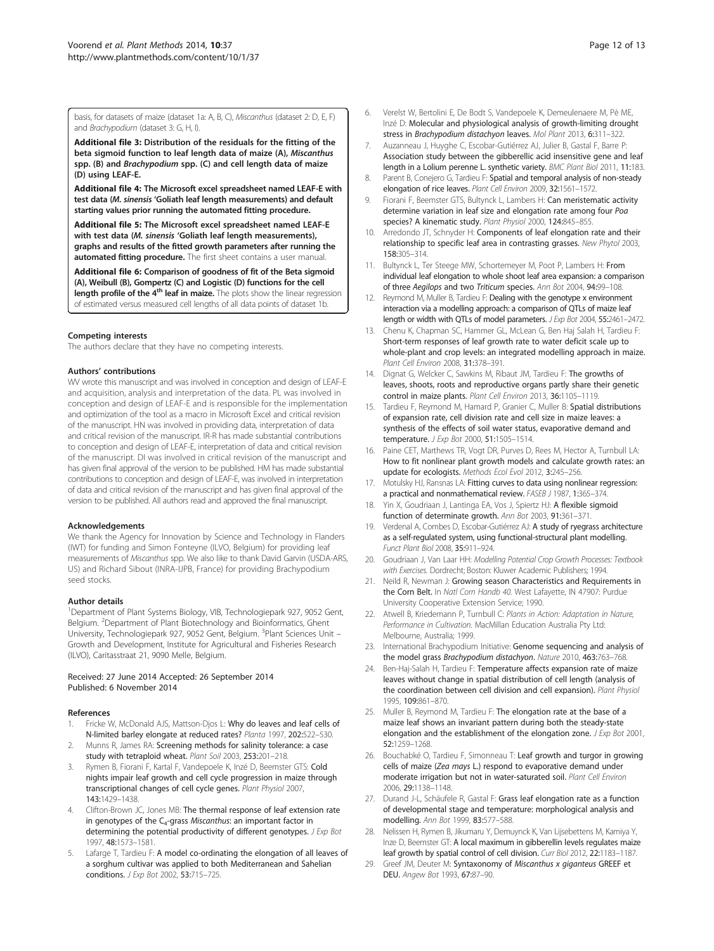<span id="page-11-0"></span>basis, for datasets of maize ([dataset 1a:](#page-8-0) A, B, C), Miscanthus [\(dataset 2](#page-8-0): D, E, F) and Brachypodium [\(dataset 3](#page-9-0): G, H, I).

[Additional file 3:](http://www.biomedcentral.com/content/supplementary/1746-4811-10-37-S3.jpeg) Distribution of the residuals for the fitting of the beta sigmoid function to leaf length data of maize (A), Miscanthus spp. (B) and Brachypodium spp. (C) and cell length data of maize (D) using LEAF-E.

[Additional file 4:](http://www.biomedcentral.com/content/supplementary/1746-4811-10-37-S4.xlsm) The Microsoft excel spreadsheet named LEAF-E with test data (M. sinensis 'Goliath leaf length measurements) and default starting values prior running the automated fitting procedure.

[Additional file 5:](http://www.biomedcentral.com/content/supplementary/1746-4811-10-37-S5.xlsm) The Microsoft excel spreadsheet named LEAF-E with test data (M. sinensis 'Goliath leaf length measurements), graphs and results of the fitted growth parameters after running the automated fitting procedure. The first sheet contains a user manual.

[Additional file 6:](http://www.biomedcentral.com/content/supplementary/1746-4811-10-37-S6.jpeg) Comparison of goodness of fit of the Beta sigmoid (A), Weibull (B), Gompertz (C) and Logistic (D) functions for the cell length profile of the 4<sup>th</sup> leaf in maize. The plots show the linear regression of estimated versus measured cell lengths of all data points of [dataset 1b.](#page-8-0)

#### Competing interests

The authors declare that they have no competing interests.

#### Authors' contributions

WV wrote this manuscript and was involved in conception and design of LEAF-E and acquisition, analysis and interpretation of the data. PL was involved in conception and design of LEAF-E and is responsible for the implementation and optimization of the tool as a macro in Microsoft Excel and critical revision of the manuscript. HN was involved in providing data, interpretation of data and critical revision of the manuscript. IR-R has made substantial contributions to conception and design of LEAF-E, interpretation of data and critical revision of the manuscript. DI was involved in critical revision of the manuscript and has given final approval of the version to be published. HM has made substantial contributions to conception and design of LEAF-E, was involved in interpretation of data and critical revision of the manuscript and has given final approval of the version to be published. All authors read and approved the final manuscript.

#### Acknowledgements

We thank the Agency for Innovation by Science and Technology in Flanders (IWT) for funding and Simon Fonteyne (ILVO, Belgium) for providing leaf measurements of Miscanthus spp. We also like to thank David Garvin (USDA-ARS, US) and Richard Sibout (INRA-IJPB, France) for providing Brachypodium seed stocks.

#### Author details

<sup>1</sup>Department of Plant Systems Biology, VIB, Technologiepark 927, 9052 Gent, Belgium. <sup>2</sup>Department of Plant Biotechnology and Bioinformatics, Ghent University, Technologiepark 927, 9052 Gent, Belgium. <sup>3</sup>Plant Sciences Unit -Growth and Development, Institute for Agricultural and Fisheries Research (ILVO), Caritasstraat 21, 9090 Melle, Belgium.

#### Received: 27 June 2014 Accepted: 26 September 2014 Published: 6 November 2014

#### References

- 1. Fricke W, McDonald AJS, Mattson-Djos L: Why do leaves and leaf cells of N-limited barley elongate at reduced rates? Planta 1997, 202:522–530.
- Munns R, James RA: Screening methods for salinity tolerance: a case study with tetraploid wheat. Plant Soil 2003, 253:201–218.
- Rymen B, Fiorani F, Kartal F, Vandepoele K, Inzé D, Beemster GTS: Cold nights impair leaf growth and cell cycle progression in maize through transcriptional changes of cell cycle genes. Plant Physiol 2007, 143:1429–1438.
- Clifton-Brown JC, Jones MB: The thermal response of leaf extension rate in genotypes of the  $C_4$ -grass Miscanthus: an important factor in determining the potential productivity of different genotypes. *J Exp Bot* 1997, 48:1573–1581.
- 5. Lafarge T, Tardieu F: A model co-ordinating the elongation of all leaves of a sorghum cultivar was applied to both Mediterranean and Sahelian conditions. *J Exp Bot 2002*, **53:**715-725.
- 6. Verelst W, Bertolini E, De Bodt S, Vandepoele K, Demeulenaere M, Pè ME, Inzé D: Molecular and physiological analysis of growth-limiting drought stress in Brachypodium distachyon leaves. Mol Plant 2013, 6:311–322.
- 7. Auzanneau J, Huyghe C, Escobar-Gutiérrez AJ, Julier B, Gastal F, Barre P: Association study between the gibberellic acid insensitive gene and leaf length in a Lolium perenne L. synthetic variety. BMC Plant Biol 2011, 11:183.
- 8. Parent B, Conejero G, Tardieu F: Spatial and temporal analysis of non-steady elongation of rice leaves. Plant Cell Environ 2009, 32:1561–1572.
- 9. Fiorani F, Beemster GTS, Bultynck L, Lambers H: Can meristematic activity determine variation in leaf size and elongation rate among four Poa species? A kinematic study. Plant Physiol 2000, 124:845-855.
- 10. Arredondo JT, Schnyder H: Components of leaf elongation rate and their relationship to specific leaf area in contrasting grasses. New Phytol 2003, 158:305–314.
- 11. Bultynck L, Ter Steege MW, Schortemeyer M, Poot P, Lambers H: From individual leaf elongation to whole shoot leaf area expansion: a comparison of three Aegilops and two Triticum species. Ann Bot 2004, 94:99–108.
- 12. Reymond M, Muller B, Tardieu F: Dealing with the genotype x environment interaction via a modelling approach: a comparison of QTLs of maize leaf length or width with QTLs of model parameters. J Exp Bot 2004, 55:2461–2472.
- 13. Chenu K, Chapman SC, Hammer GL, McLean G, Ben Haj Salah H, Tardieu F: Short-term responses of leaf growth rate to water deficit scale up to whole-plant and crop levels: an integrated modelling approach in maize. Plant Cell Environ 2008, 31:378–391.
- 14. Dignat G, Welcker C, Sawkins M, Ribaut JM, Tardieu F: The growths of leaves, shoots, roots and reproductive organs partly share their genetic control in maize plants. Plant Cell Environ 2013, 36:1105–1119.
- 15. Tardieu F, Reymond M, Hamard P, Granier C, Muller B: Spatial distributions of expansion rate, cell division rate and cell size in maize leaves: a synthesis of the effects of soil water status, evaporative demand and temperature. *J Exp Bot 2000*, 51:1505-1514.
- 16. Paine CET, Marthews TR, Vogt DR, Purves D, Rees M, Hector A, Turnbull LA: How to fit nonlinear plant growth models and calculate growth rates: an update for ecologists. Methods Ecol Evol 2012, 3:245–256.
- 17. Motulsky HJ, Ransnas LA: Fitting curves to data using nonlinear regression: a practical and nonmathematical review. FASEB J 1987, 1:365-374
- 18. Yin X, Goudriaan J, Lantinga EA, Vos J, Spiertz HJ: A flexible sigmoid function of determinate growth. Ann Bot 2003, 91:361–371.
- 19. Verdenal A, Combes D, Escobar-Gutiérrez AJ: A study of ryegrass architecture as a self-regulated system, using functional-structural plant modelling. Funct Plant Biol 2008, 35:911–924.
- 20. Goudriaan J, Van Laar HH: Modelling Potential Crop Growth Processes: Textbook with Exercises. Dordrecht; Boston: Kluwer Academic Publishers; 1994.
- 21. Neild R, Newman J: Growing season Characteristics and Requirements in the Corn Belt. In Natl Corn Handb 40. West Lafayette, IN 47907: Purdue University Cooperative Extension Service; 1990.
- 22. Atwell B, Kriedemann P, Turnbull C: Plants in Action: Adaptation in Nature, Performance in Cultivation. MacMillan Education Australia Pty Ltd: Melbourne, Australia; 1999.
- 23. International Brachypodium Initiative: Genome sequencing and analysis of the model grass Brachypodium distachyon. Nature 2010, 463:763–768.
- 24. Ben-Haj-Salah H, Tardieu F: Temperature affects expansion rate of maize leaves without change in spatial distribution of cell length (analysis of the coordination between cell division and cell expansion). Plant Physiol 1995, 109:861–870.
- 25. Muller B, Reymond M, Tardieu F: The elongation rate at the base of a maize leaf shows an invariant pattern during both the steady-state elongation and the establishment of the elongation zone. *J Exp Bot* 2001, 52:1259–1268.
- 26. Bouchabké O, Tardieu F, Simonneau T: Leaf growth and turgor in growing cells of maize (Zea mays L.) respond to evaporative demand under moderate irrigation but not in water-saturated soil. Plant Cell Environ 2006, 29:1138–1148.
- 27. Durand J-L, Schäufele R, Gastal F: Grass leaf elongation rate as a function of developmental stage and temperature: morphological analysis and modelling. Ann Bot 1999, 83:577–588.
- 28. Nelissen H, Rymen B, Jikumaru Y, Demuynck K, Van Lijsebettens M, Kamiya Y, Inze D, Beemster GT: A local maximum in gibberellin levels regulates maize leaf growth by spatial control of cell division. Curr Biol 2012, 22:1183–1187.
- 29. Greef JM, Deuter M: Syntaxonomy of Miscanthus x giganteus GREEF et DEU. Angew Bot 1993, 67:87–90.